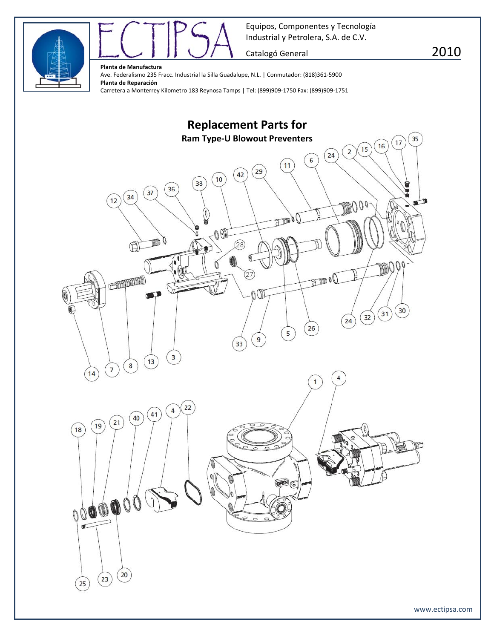



Catalogó General **2010** 

**Planta de Manufactura**

Ave. Federalismo 235 Fracc. Industrial la Silla Guadalupe, N.L. | Conmutador: (818)361‐5900 **Planta de Reparación** Carretera a Monterrey Kilometro 183 Reynosa Tamps | Tel: (899)909‐1750 Fax: (899)909‐1751

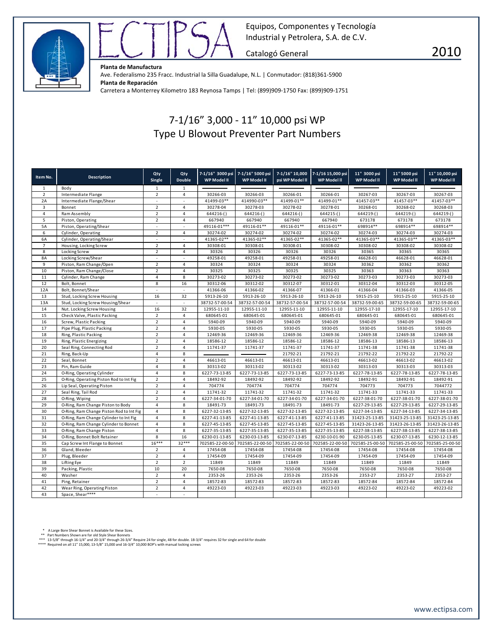



Catalogó General **2010** 

**Planta de Manufactura**

Ave. Federalismo 235 Fracc. Industrial la Silla Guadalupe, N.L. | Conmutador: (818)361‐5900 **Planta de Reparación** Carretera a Monterrey Kilometro 183 Reynosa Tamps | Tel: (899)909‐1750 Fax: (899)909‐1751

## 7‐1/16" 3,000 ‐ 11" 10,000 psi WP Type U Blowout Preventer Part Numbers

| Item No.       | <b>Description</b>                       | Qty<br>Single            | Qty<br><b>Double</b>     | WP Model II     | 7-1/16" 3000 psi 7-1/16" 5000 psi<br>WP Model II | 7-1/16" 10,000<br>psi WP Model II | 7-1/16 15,000 psi<br>WP Model II | 11" 3000 psi<br>WP Model II | 11" 5000 psi<br>WP Model II | 11" 10,000 psi<br>WP Model II |
|----------------|------------------------------------------|--------------------------|--------------------------|-----------------|--------------------------------------------------|-----------------------------------|----------------------------------|-----------------------------|-----------------------------|-------------------------------|
| $\mathbf{1}$   | Body                                     | $\mathbf{1}$             | 1                        |                 |                                                  |                                   |                                  |                             |                             |                               |
| $\overline{2}$ | Intermediate Flange                      | $\overline{2}$           | $\overline{4}$           | 30266-03        | 30266-03                                         | 30266-01                          | 30266-01                         | 30267-03                    | 30267-03                    | 30267-03                      |
| 2A             | Intermediate Flange/Shear                | $\overline{\phantom{a}}$ | $\overline{\phantom{a}}$ | 41499-03**      | 414990-03**                                      | 41499-01**                        | 41499-01**                       | 41457-03**                  | 41457-03**                  | 41457-03**                    |
| $\overline{3}$ | Bonnet                                   | $\overline{2}$           | $\overline{4}$           | 30278-04        | 30278-03                                         | 30278-02                          | 30278-01                         | 30268-01                    | 30268-02                    | 30268-03                      |
| $\overline{4}$ | Ram Assembly                             | $\overline{2}$           | $\overline{4}$           | 644216-()       | 644216-()                                        | $644216-()$                       | $644215-()$                      | 644219-(                    | 644219()                    | 644219-()                     |
| 5              | Piston, Operating                        | $\overline{2}$           | $\sqrt{4}$               | 667940          | 667940                                           | 667940                            | 667940                           | 673178                      | 673178                      | 673178                        |
| 5A             | Piston, Operating/Shear                  | ÷,                       | ٠                        | 49116-01***     | 49116-01**                                       | 49116-01**                        | 49116-01**                       | 698914**                    | 698914**                    | 698914**                      |
| $\,$ 6 $\,$    | Cylinder, Operating                      | $\overline{2}$           | $\sqrt{4}$               | 30274-02        | 30274-02                                         | 30274-02                          | 30274-02                         | 30274-03                    | 30274-03                    | 30274-03                      |
| 6A             | Cylinder, Operating/Shear                | ×.                       | ٠                        | 41365-02**      | 41365-02**                                       | 41365-02**                        | 41365-02**                       | 41365-03**                  | 41365-03**                  | 41365-03**                    |
| $\overline{7}$ | Housing, Locking Screw                   | $\overline{2}$           | $\overline{4}$           | 30308-01        | 30308-01                                         | 30308-01                          | 30308-02                         | 30308-02                    | 30308-02                    | 30308-02                      |
| 8              | Locking Screw                            | $\overline{2}$           | $\overline{4}$           | 30326           | 30326                                            | 30326                             | 30326                            | 30365                       | 30365                       | 30365                         |
| 8A             | Locking Screw/Shear                      | $\overline{\phantom{a}}$ | $\overline{\phantom{a}}$ | 49258-01        | 49258-01                                         | 49258-01                          | 49258-01                         | 46628-01                    | 46628-01                    | 46628-01                      |
| 9              | Piston, Ram Change/Open                  | $\overline{2}$           | 4                        | 30324           | 30324                                            | 30324                             | 30324                            | 30362                       | 30362                       | 30362                         |
| 10             | Piston, Ram Change/Close                 | $\overline{2}$           | $\overline{4}$           | 30325           | 30325                                            | 30325                             | 30325                            | 30363                       | 30363                       | 30363                         |
| 11             | Cylinder, Ram Change                     | $\overline{4}$           | 8                        | 30273-02        | 30273-02                                         | 30273-02                          | 30273-02                         | 30273-03                    | 30273-03                    | 30273-03                      |
| 12             | Bolt, Bonnet                             | 8                        | 16                       | 30312-06        | 30312-02                                         | 30312-07                          | 30312-01                         | 30312-04                    | 30312-03                    | 30312-05                      |
| 12A            | Bolt, Bonnet/Shear                       | $\sim$                   | $\mathcal{L}$            | 41366-06        | 41366-02                                         | 41366-07                          | 41366-01                         | 41366-04                    | 41366-03                    | 41366-05                      |
| 13             | Stud, Locking Screw Housing              | 16                       | 32                       | 5913-26-10      | 5913-26-10                                       | 5913-26-10                        | 5913-26-10                       | 5915-25-10                  | 5915-25-10                  | 5915-25-10                    |
| 13A            | Stud, Locking Screw Housing/Shear        | $\sim$                   | $\overline{\phantom{a}}$ | 38732-57-00-54  | 38732-57-00-54                                   | 38732-57-00-54                    | 38732-57-00-54                   | 38732-59-00-65              | 38732-59-00-65              | 38732-59-00-65                |
| 14             | Nut. Locking Screw Housing               | 16                       | 32                       | 12955-11-10     | 12955-11-10                                      | 12955-11-10                       | 12955-11-10                      | 12955-17-10                 | 12955-17-10                 | 12955-17-10                   |
| 15             | Check Valve, Plastic Packing             | $\overline{2}$           | $\sqrt{4}$               | 680645-01       | 680645-01                                        | 680645-01                         | 680645-01                        | 680645-01                   | 680645-01                   | 680645-01                     |
| 16             | Screw, Plastic Packing                   | $\overline{2}$           | $\overline{4}$           | 5940-09         | 5940-09                                          | 5940-09                           | 5940-09                          | 5940-09                     | 5940-09                     | 5940-09                       |
| 17             | Pipe Plug, Plastic Packing               | $\overline{2}$           | $\overline{4}$           | 5930-05         | 5930-05                                          | 5930-05                           | 5930-05                          | 5930-05                     | 5930-05                     | 5930-05                       |
| 18             | Ring, Plastic Packing                    | $\overline{2}$           | $\sqrt{4}$               | 12469-36        | 12469-36                                         | 12469-36                          | 12469-36                         | 12469-38                    | 12469-38                    | 12469-38                      |
| 19             | Ring, Plastic Energizing                 | $\overline{2}$           | $\sqrt{4}$               | 18586-12        | 18586-12                                         | 18586-12                          | 18586-12                         | 18586-13                    | 18586-13                    | 18586-13                      |
| 20             | Seal Ring, Connecting Rod                | $\overline{2}$           | $\sqrt{4}$               | 11741-37        | 11741-37                                         | 11741-37                          | 11741-37                         | 11741-38                    | 11741-38                    | 11741-38                      |
| 21             | Ring, Back-Up                            | $\overline{4}$           | $\bf 8$                  |                 |                                                  | 21792-21                          | 21792-21                         | 21792-22                    | 21792-22                    | 21792-22                      |
| 22             | Seal, Bonnet                             | $\overline{2}$           | $\overline{4}$           | 46613-01        | 46613-01                                         | 46613-01                          | 46613-01                         | 46613-02                    | 46613-02                    | 46613-02                      |
| 23             | Pin, Ram Guide                           | $\overline{4}$           | 8                        | 30313-02        | 30313-02                                         | 30313-02                          | 30313-02                         | 30313-03                    | 30313-03                    | 30313-03                      |
| 24             | O-Ring, Operating Cylinder               | $\overline{4}$           | 8                        | 6227-73-13-85   | 6227-73-13-85                                    | 6227-73-13-85                     | 6227-73-13-85                    | 6227-78-13-85               | 6227-78-13-85               | 6227-78-13-85                 |
| 25             | O-Ring, Operating Piston Rod to Int Fig  | $\overline{2}$           | $\overline{4}$           | 18492-92        | 18492-92                                         | 18492-92                          | 18492-92                         | 18492-91                    | 18492-91                    | 18492-91                      |
| 26             | Lip Seal, Operating Piston               | $\overline{2}$           | $\overline{4}$           | 704774          | 704774                                           | 704774                            | 704774                           | 704773                      | 704773                      | 7044772                       |
| 27             | Seal Ring, Tail Rod                      | $\overline{2}$           | $\overline{4}$           | 11741-32        | 11741-32                                         | 11741-32                          | 11741-32                         | 11741-33                    | 11741-33                    | 11741-33                      |
| 28             | O-Ring, Wiping                           | $\overline{2}$           | $\overline{4}$           | 6227-34-01-70   | 6227-34-01-70                                    | 6227-34-01-70                     | 6227-34-01-70                    | 6227-38-01-70               | 6227-38-01-70               | 6227-38-01-70                 |
| 29             | O-Ring, Ram Change Piston to Body        | $\overline{4}$           | 8                        | 18491-73        | 18491-73                                         | 18491-73                          | 18491-73                         | 6227-29-13-85               | 6227-29-13-85               | 6227-29-13-85                 |
| 30             | O-Ring, Ram Change Piston Rod to Int Fig | $\overline{4}$           | $\bf 8$                  | 6227-32-13-85   | 6227-32-13-85                                    | 6227-32-13-85                     | 6227-32-13-85                    | 6227-34-13-85               | 6227-34-13-85               | 6227-34-13-85                 |
| 31             | O-Ring, Ram Change Cylinder to Int Fig   | $\overline{4}$           | 8                        | 6227-41-13-85   | 6227-41-13-85                                    | 6227-41-13-85                     | 6227-41-13-85                    | 31423-25-13-85              | 31423-25-13-85              | 31423-25-13-85                |
| 32             | O-Ring, Ram Change Cylinder to Bonnet    | $\overline{4}$           | 8                        | 6227-45-13-85   | 6227-45-13-85                                    | 6227-45-13-85                     | 6227-45-13-85                    | 31423-26-13-85              | 31423-26-13-85              | 31423-26-13-85                |
| 33             | O-Ring, Ram Change Piston                | $\overline{4}$           | 8                        | 6227-35-13-85   | 6227-35-13-85                                    | 6227-35-13-85                     | 6227-35-13-85                    | 6227-38-13-85               | 6227-38-13-85               | 6227-38-13-85                 |
| 34             | O-Ring, Bonnet Bolt Retainer             | 8                        | 16                       | 6230-01-13-85   | 6230-03-13-85                                    | 6230-07-13-85                     | 6230-10-01-90                    | 6230-05-13-85               | 6230-07-13-85               | 6230-12-13-85                 |
| 35             | Cap Screw Int Flange to Bonnet           | $16***$                  | $32***$                  | 702585-22-00-50 | 702585-22-00-50                                  | 702585-22-00-50                   | 702585-22-00-50                  | 702585-25-00-50             | 702585-25-00-50             | 702585-25-00-50               |
| 36             | Gland, Bleeder                           | $\overline{2}$           | 4                        | 17454-08        | 17454-08                                         | 17454-08                          | 17454-08                         | 17454-08                    | 17454-08                    | 17454-08                      |
| 37             | Plug, Bleeder                            | $\overline{2}$           | $\overline{4}$           | 17454-09        | 17454-09                                         | 17454-09                          | 17454-09                         | 17454-09                    | 17454-09                    | 17454-09                      |
| 38             | Lifting Eye                              | $\overline{2}$           | $\overline{2}$           | 11849           | 11849                                            | 11849                             | 11849                            | 11849                       | 11849                       | 11849                         |
| 39             | Packing, Plastic                         | 10                       | 20                       | 7650-08         | 7650-08                                          | 7650-08                           | 7650-08                          | 7650-08                     | 7650-08                     | 7650-08                       |
| 40             | Washer                                   | $\overline{2}$           | $\overline{4}$           | 2353-26         | 2353-26                                          | 2353-26                           | 2353-26                          | 2353-27                     | 2353-27                     | 2353-27                       |
| 41             | Ping, Retainer                           | $\overline{2}$           | $\overline{4}$           | 18572-83        | 18572-83                                         | 18572-83                          | 18572-83                         | 18572-84                    | 18572-84                    | 18572-84                      |
| 42             | Wear Ring, Operating Piston              | $\overline{2}$           | $\overline{4}$           | 49223-03        | 49223-03                                         | 49223-03                          | 49223-03                         | 49223-02                    | 49223-02                    | 49223-02                      |
| 43             | Space, Shear****                         | ٠                        | $\overline{\phantom{a}}$ |                 |                                                  |                                   |                                  |                             |                             |                               |

\* A Large Bore Shear Bonnet is Available for these Sizes.<br>\*\* Part Numbers Shown are for old Style Shear Bonnets<br>\*\*\* 13-5/8" through 16-1/4" and 20-3/4" through 26-3/4" Require 24 for single, 48 for double. 18-3/4" requires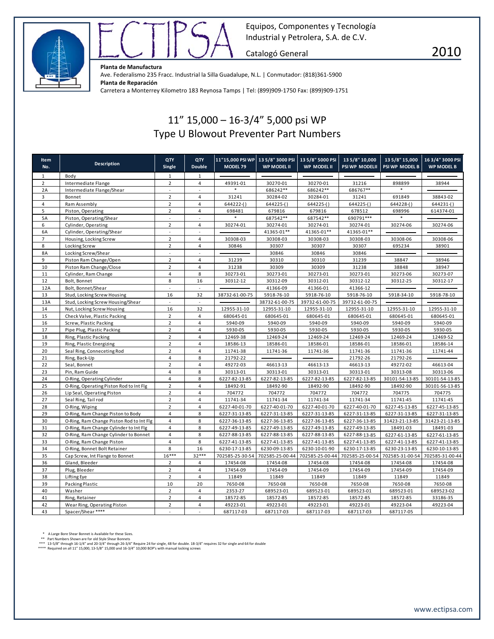



Catalogó General **2010** 

**Planta de Manufactura**

Ave. Federalismo 235 Fracc. Industrial la Silla Guadalupe, N.L. | Conmutador: (818)361‐5900 **Planta de Reparación** Carretera a Monterrey Kilometro 183 Reynosa Tamps | Tel: (899)909‐1750 Fax: (899)909‐1751

## 11" 15,000 – 16‐3/4" 5,000 psi WP Type U Blowout Preventer Part Numbers

| <b>Item</b><br>No. | <b>Description</b>                       | QTY<br><b>Single</b> | QTY<br><b>Double</b>     | MODEL 79       | 11"15,000 PSI WP 13 5/8" 3000 PSI 13 5/8" 5000 PSI<br><b>WP MODEL II</b> | WP MODEL II     | 13 5/8" 10,000<br><b>PSI WP MODELII</b> | 13 5/8" 15,000<br>PSI WP MODEL B | 163/4" 3000 PSI<br><b>WP MODEL B</b> |
|--------------------|------------------------------------------|----------------------|--------------------------|----------------|--------------------------------------------------------------------------|-----------------|-----------------------------------------|----------------------------------|--------------------------------------|
| $\mathbf{1}$       | Body                                     | $\mathbf{1}$         | $\mathbf{1}$             |                |                                                                          |                 |                                         |                                  |                                      |
| $\overline{2}$     | Intermediate Flange                      | $\overline{2}$       | $\overline{4}$           | 49391-01       | 30270-01                                                                 | 30270-01        | 31216                                   | 898899                           | 38944                                |
| 2A                 | Intermediate Flange/Shear                | $\omega$             | $\omega$                 |                | 686242**                                                                 | 686242**        | 686767**                                |                                  |                                      |
| 3                  | Bonnet                                   | $\overline{2}$       | 4                        | 31241          | 30284-02                                                                 | 30284-01        | 31241                                   | 691849                           | 38843-02                             |
| $\overline{4}$     | Ram Assembly                             | $\overline{2}$       | 4                        | $644222-()$    | 644225-()                                                                | 644225-()       | 644225-()                               | $644228-()$                      | $644231-()$                          |
| 5                  | Piston, Operating                        | $\overline{2}$       | $\overline{4}$           | 698481         | 679816                                                                   | 679816          | 678512                                  | 698996                           | 614374-01                            |
| <b>5A</b>          | Piston, Operating/Shear                  | ä,                   | $\sim$                   | $\ast$         | 687542**                                                                 | 687542**        | 690791 ***                              | $\star$                          |                                      |
| 6                  | Cylinder, Operating                      | $\overline{2}$       | $\overline{4}$           | 30274-01       | 30274-01                                                                 | 30274-01        | 30274-01                                | 30274-06                         | 30274-06                             |
| 6A                 | Cylinder, Operating/Shear                | $\omega$             | $\sim$                   |                | 41365-01**                                                               | 41365-01**      | 41365-01**                              |                                  |                                      |
| $\overline{7}$     | Housing, Locking Screw                   | $\overline{2}$       | $\overline{4}$           | 30308-03       | 30308-03                                                                 | 30308-03        | 30308-03                                | 30308-06                         | 30308-06                             |
| 8                  | Locking Screw                            | $\overline{2}$       | 4                        | 30846          | 30307                                                                    | 30307           | 30307                                   | 695234                           | 38901                                |
| <b>8A</b>          | Locking Screw/Shear                      | $\omega$             | $\omega$                 |                | 30846                                                                    | 30846           | 30846                                   |                                  |                                      |
| 9                  | Piston Ram Change/Open                   | $\overline{2}$       | 4                        | 31239          | 30310                                                                    | 30310           | 31239                                   | 38847                            | 38946                                |
| 10                 | Piston Ram Change/Close                  | $\overline{2}$       | 4                        | 31238          | 30309                                                                    | 30309           | 31238                                   | 38848                            | 38947                                |
| 11                 | Cylinder, Ram Change                     | $\overline{4}$       | 8                        | 30273-01       | 30273-01                                                                 | 30273-01        | 30273-01                                | 30273-06                         | 30273-07                             |
| 12                 | Bolt. Bonnet                             | 8                    | 16                       | 30312-12       | 30312-09                                                                 | 30312-01        | 30312-12                                | 30312-25                         | 30312-17                             |
| 12A                | Bolt, Bonnet/Shear                       |                      | $\mathcal{L}$            |                | 41366-09                                                                 | 41366-01        | 41366-12                                |                                  |                                      |
| 13                 | Stud, Locking Screw Housing              | 16                   | 32                       | 38732-61-00-75 | 5918-76-10                                                               | 5918-76-10      | 5918-76-10                              | 5918-34-10                       | 5918-78-10                           |
| 13A                | Stud, Locking Screw Housing/Shear        | $\omega$             | $\omega$                 |                | 38732-61-00-75                                                           | 39732-61-00-75  | 39732-61-00-75                          |                                  |                                      |
| 14                 | Nut, Locking Screw Housing               | 16                   | 32                       | 12955-31-10    | 12955-31-10                                                              | 12955-31-10     | 12955-31-10                             | 12955-31-10                      | 12955-31-10                          |
| 15                 | Check Valve, Plastic Packing             | $\overline{2}$       | $\overline{4}$           | 680645-01      | 680645-01                                                                | 680645-01       | 680645-01                               | 680645-01                        | 680645-01                            |
| 16                 | Screw, Plastic Packing                   | $\overline{2}$       | $\overline{4}$           | 5940-09        | 5940-09                                                                  | 5940-09         | 5940-09                                 | 5940-09                          | 5940-09                              |
| 17                 | Pipe Plug, Plastic Packing               | $\overline{2}$       | $\overline{4}$           | 5930-05        | 5930-05                                                                  | 5930-05         | 5930-05                                 | 5930-05                          | 5930-05                              |
| 18                 | Ring, Plastic Packing                    | $\overline{2}$       | 4                        | 12469-38       | 12469-24                                                                 | 12469-24        | 12469-24                                | 12469-24                         | 12469-52                             |
| 19                 | Ring, Plastic Energizing                 | $\overline{2}$       | $\overline{4}$           | 18586-13       | 18586-01                                                                 | 18586-01        | 18586-01                                | 18586-01                         | 18586-14                             |
| 20                 | Seal Ring, Conneceting Rod               | $\overline{2}$       | 4                        | 11741-38       | 11741-36                                                                 | 11741-36        | 11741-36                                | 11741-36                         | 11741-44                             |
| 21                 | Ring, Back-Up                            | $\overline{4}$       | 8                        | 21792-22       |                                                                          |                 | 21792-26                                | 21792-26                         |                                      |
| 22                 | Seal, Bonnet                             | $\overline{2}$       | $\overline{4}$           | 49272-03       | 46613-13                                                                 | 46613-13        | 46613-13                                | 49272-02                         | 46613-04                             |
| 23                 | Pin, Ram Guide                           | 4                    | 8                        | 30313-01       | 30313-01                                                                 | 30313-01        | 30313-01                                | 30313-08                         | 30313-06                             |
| 24                 | O-Ring, Operating Cylinder               | $\overline{4}$       | 8                        | 6227-82-13-85  | 6227-82-13-85                                                            | 6227-82-13-85   | 6227-82-13-85                           | 30101-54-13-85                   | 30101-54-13-85                       |
| 25                 | O-Ring, Operating Piston Rod to Int Flg  | $\overline{2}$       | 4                        | 18492-91       | 18492-90                                                                 | 18492-90        | 18492-90                                | 18492-90                         | 30101-56-13-85                       |
| 26                 | Lip Seal, Operating Piston               | $\overline{2}$       | $\overline{4}$           | 704772         | 704772                                                                   | 704772          | 704772                                  | 704775                           | 704775                               |
| 27                 | Seal Ring, Tail rod                      | $\overline{2}$       | $\overline{4}$           | 11741-34       | 11741-34                                                                 | 11741-34        | 11741-34                                | 11741-45                         | 11741-45                             |
| 28                 | O-Ring, Wiping                           | $\overline{2}$       | 4                        | 6227-40-01-70  | 6227-40-01-70                                                            | 6227-40-01-70   | 6227-40-01-70                           | 6227-45-13-85                    | 6227-45-13-85                        |
| 29                 | O-Ring, Ram Change Piston to Body        | $\overline{4}$       | 8                        | 6227-31-13-85  | 6227-31-13-85                                                            | 6227-31-13-85   | 6227-31-13-85                           | 6227-31-13-85                    | 6227-31-13-85                        |
| 30                 | O-Ring, Ram Change Piston Rod to Int Flg | $\overline{4}$       | 8                        | 6227-36-13-85  | 6227-36-13-85                                                            | 6227-36-13-85   | 6227-36-13-85                           | 31423-21-13-85                   | 31423-21-13-85                       |
| 31                 | O-Ring, Ram Change Cylinder to Int Flg   | $\overline{4}$       | 8                        | 6227-49-13-85  | 6227-49-13-85                                                            | 6227-49-13-85   | 6227-49-13-85                           | 18491-03                         | 18491-03                             |
| 32                 | O-Ring, Ram Change Cylinder to Bonnet    | 4                    | 8                        | 6227-88-13-85  | 6227-88-13-85                                                            | 6227-88-13-85   | 6227-88-13-85                           | 6227-61-13-85                    | 6227-61-13-85                        |
| 33                 | O-Ring, Ram Change Piston                | $\overline{4}$       | 8                        | 6227-41-13-85  | 6227-41-13-85                                                            | 6227-41-13-85   | 6227-41-13-85                           | 6227-41-13-85                    | 6227-41-13-85                        |
| 34                 | O-Ring, Bonnet Bolt Retainer             | 8                    | 16                       | 6230-17-13-85  | 6230-09-13-85                                                            | 6230-10-01-90   | 6230-17-13-85                           | 6230-23-13-85                    | 6230-10-13-85                        |
| 35                 | Cap Screw, Int Flange to Bonnet          | $16***$              | $32***$                  |                | 702585-25-30-54 702585-25-00-44                                          | 702585-25-00-44 | 702585-25-00-54                         | 702585-31-00-54                  | 702585-31-00-44                      |
| 36                 | Gland, Bleeder                           | $\overline{2}$       | $\overline{4}$           | 17454-08       | 17454-08                                                                 | 17454-08        | 17454-08                                | 17454-08                         | 17454-08                             |
| 37                 | Plug, Bleeder                            | $\overline{2}$       | 4                        | 17454-09       | 17454-09                                                                 | 17454-09        | 17454-09                                | 17454-09                         | 17454-09                             |
| 38                 | Lifting Eye                              | $\overline{2}$       | $\overline{4}$           | 11849          | 11849                                                                    | 11849           | 11849                                   | 11849                            | 11849                                |
| 39                 | Packing Plastic                          | 10                   | 20                       | 7650-08        | 7650-08                                                                  | 7650-08         | 7650-08                                 | 7650-08                          | 7650-08                              |
| 40                 | Washer                                   | $\overline{2}$       | $\overline{4}$           | 2353-27        | 689523-01                                                                | 689523-01       | 689523-01                               | 689523-01                        | 689523-02                            |
| 41                 | Ring, Retainer                           | $\overline{2}$       | $\overline{4}$           | 18572-85       | 18572-85                                                                 | 18572-85        | 18572-85                                | 18572-85                         | 33186-35                             |
| 42                 | Wear Ring, Operating Piston              | $\overline{2}$       | $\overline{4}$           | 49223-01       | 49223-01                                                                 | 49223-01        | 49223-01                                | 49223-04                         | 49223-04                             |
| 43                 | Spacer/Shear ****                        | $\blacksquare$       | $\overline{\phantom{a}}$ | 687117-03      | 687117-03                                                                | 687117-03       | 687117-03                               | 687117-05                        |                                      |

\* A Large Bore Shear Bonnet is Available for these Sizes.<br>\*\* Part Numbers Shown are for old Style Shear Bonnets<br>\*\*\* 13-5/8" through 16-1/4" and 20-3/4" through 26-3/4" Require 24 for single, 48 for double. 18-3/4" requires